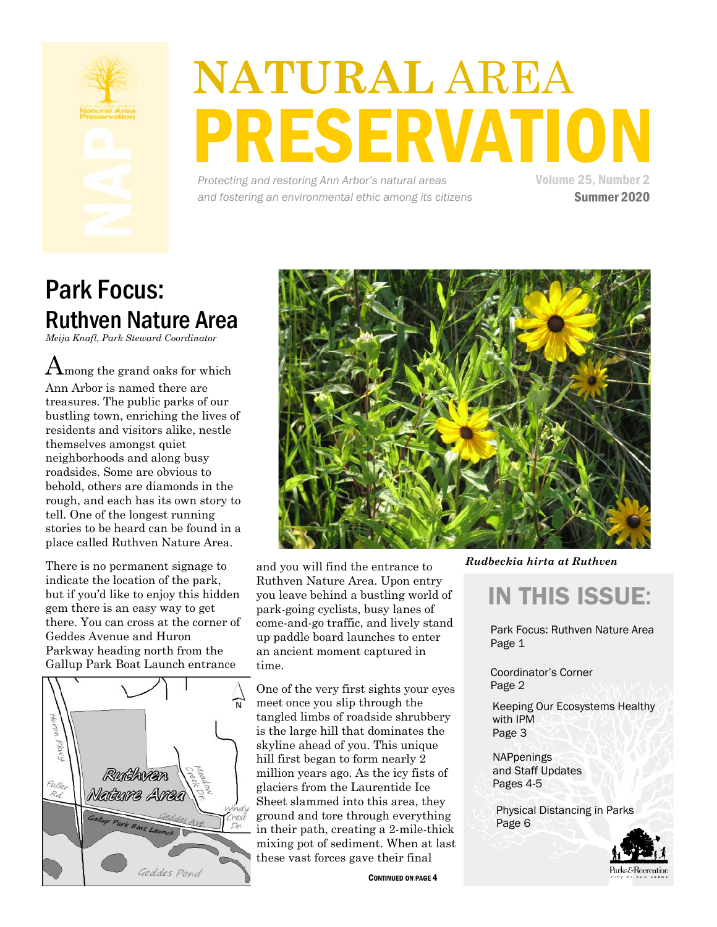

# **NATURAL** AREA **RESERVATION**

*Protecting and restoring Ann Arbor's natural areas and fostering an environmental ethic among its citizens* Volume 25, Number 2 Summer 2020

## Park Focus: Ruthven Nature Area

*Meija Knafl, Park Steward Coordinator*

 $A_{\text{mong}}$  the grand oaks for which Ann Arbor is named there are treasures. The public parks of our bustling town, enriching the lives of residents and visitors alike, nestle themselves amongst quiet neighborhoods and along busy roadsides. Some are obvious to behold, others are diamonds in the rough, and each has its own story to tell. One of the longest running stories to be heard can be found in a place called Ruthven Nature Area.

There is no permanent signage to indicate the location of the park, but if you'd like to enjoy this hidden gem there is an easy way to get there. You can cross at the corner of Geddes Avenue and Huron Parkway heading north from the Gallup Park Boat Launch entrance





and you will find the entrance to Ruthven Nature Area. Upon entry you leave behind a bustling world of park-going cyclists, busy lanes of come-and-go traffic, and lively stand up paddle board launches to enter an ancient moment captured in time.

One of the very first sights your eyes meet once you slip through the tangled limbs of roadside shrubbery is the large hill that dominates the skyline ahead of you. This unique hill first began to form nearly 2 million years ago. As the icy fists of glaciers from the Laurentide Ice Sheet slammed into this area, they ground and tore through everything in their path, creating a 2-mile-thick mixing pot of sediment. When at last these vast forces gave their final

CONTINUED ON PAGE 4

*Rudbeckia hirta at Ruthven* 

## IN THIS ISSUE:

Park Focus: Ruthven Nature Area Page 1

Coordinator's Corner Page 2

Keeping Our Ecosystems Healthy with IPM Page 3

**NAPpenings** and Staff Updates Pages 4-5

Physical Distancing in Parks Page 6

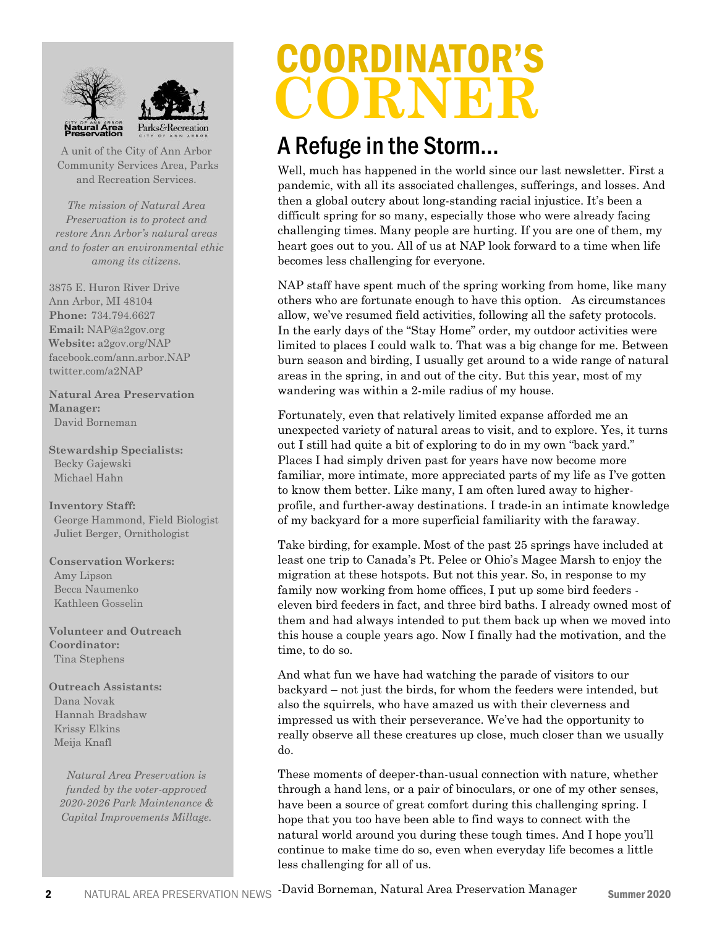



A unit of the City of Ann Arbor Community Services Area, Parks and Recreation Services.

*The mission of Natural Area Preservation is to protect and restore Ann Arbor's natural areas and to foster an environmental ethic among its citizens.*

3875 E. Huron River Drive Ann Arbor, MI 48104 **Phone:** 734.794.6627 **Email:** NAP@a2gov.org **Website:** a2gov.org/NAP facebook.com/ann.arbor.NAP twitter.com/a2NAP

**Natural Area Preservation Manager:** David Borneman

**Stewardship Specialists:** Becky Gajewski Michael Hahn

**Inventory Staff:** George Hammond, Field Biologist Juliet Berger, Ornithologist

**Conservation Workers:** Amy Lipson Becca Naumenko Kathleen Gosselin

**Volunteer and Outreach Coordinator:** Tina Stephens

**Outreach Assistants:** Dana Novak Hannah Bradshaw Krissy Elkins Meija Knafl

*Natural Area Preservation is funded by the voter-approved 2020-2026 Park Maintenance & Capital Improvements Millage.* 

## COORDINATOR'S **CORNER**

### A Refuge in the Storm...

Well, much has happened in the world since our last newsletter. First a pandemic, with all its associated challenges, sufferings, and losses. And then a global outcry about long-standing racial injustice. It's been a difficult spring for so many, especially those who were already facing challenging times. Many people are hurting. If you are one of them, my heart goes out to you. All of us at NAP look forward to a time when life becomes less challenging for everyone.

NAP staff have spent much of the spring working from home, like many others who are fortunate enough to have this option. As circumstances allow, we've resumed field activities, following all the safety protocols. In the early days of the "Stay Home" order, my outdoor activities were limited to places I could walk to. That was a big change for me. Between burn season and birding, I usually get around to a wide range of natural areas in the spring, in and out of the city. But this year, most of my wandering was within a 2-mile radius of my house.

Fortunately, even that relatively limited expanse afforded me an unexpected variety of natural areas to visit, and to explore. Yes, it turns out I still had quite a bit of exploring to do in my own "back yard." Places I had simply driven past for years have now become more familiar, more intimate, more appreciated parts of my life as I've gotten to know them better. Like many, I am often lured away to higherprofile, and further-away destinations. I trade-in an intimate knowledge of my backyard for a more superficial familiarity with the faraway.

Take birding, for example. Most of the past 25 springs have included at least one trip to Canada's Pt. Pelee or Ohio's Magee Marsh to enjoy the migration at these hotspots. But not this year. So, in response to my family now working from home offices, I put up some bird feeders eleven bird feeders in fact, and three bird baths. I already owned most of them and had always intended to put them back up when we moved into this house a couple years ago. Now I finally had the motivation, and the time, to do so.

And what fun we have had watching the parade of visitors to our backyard – not just the birds, for whom the feeders were intended, but also the squirrels, who have amazed us with their cleverness and impressed us with their perseverance. We've had the opportunity to really observe all these creatures up close, much closer than we usually do.

These moments of deeper-than-usual connection with nature, whether through a hand lens, or a pair of binoculars, or one of my other senses, have been a source of great comfort during this challenging spring. I hope that you too have been able to find ways to connect with the natural world around you during these tough times. And I hope you'll continue to make time do so, even when everyday life becomes a little less challenging for all of us.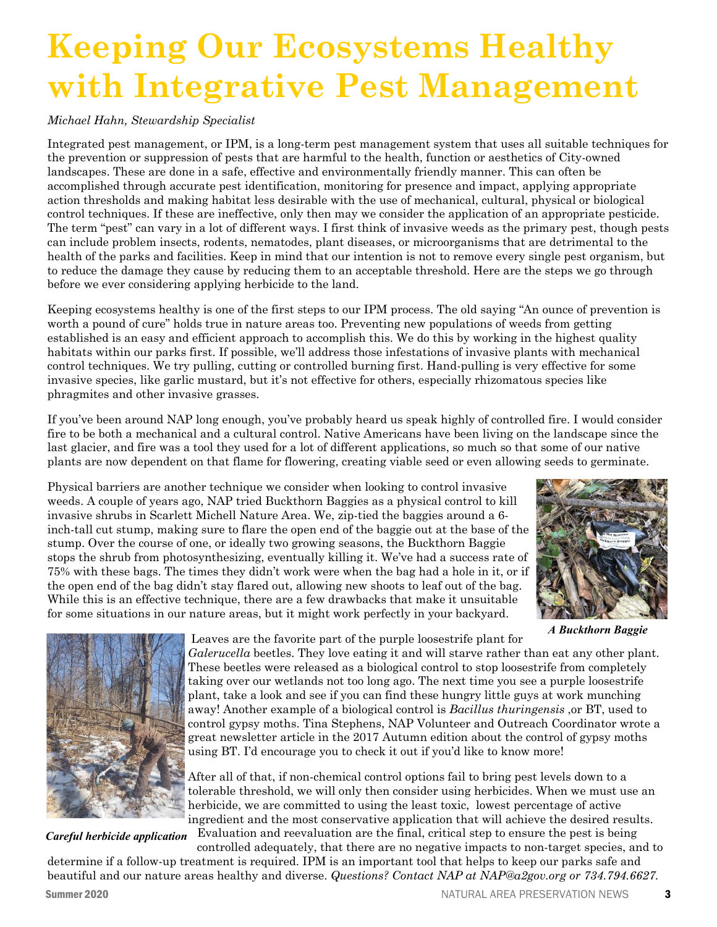## **Keeping Our Ecosystems Healthy with Integrative Pest Management**

### *Michael Hahn, Stewardship Specialist*

Integrated pest management, or IPM, is a long-term pest management system that uses all suitable techniques for the prevention or suppression of pests that are harmful to the health, function or aesthetics of City-owned landscapes. These are done in a safe, effective and environmentally friendly manner. This can often be accomplished through accurate pest identification, monitoring for presence and impact, applying appropriate action thresholds and making habitat less desirable with the use of mechanical, cultural, physical or biological control techniques. If these are ineffective, only then may we consider the application of an appropriate pesticide. The term "pest" can vary in a lot of different ways. I first think of invasive weeds as the primary pest, though pests can include problem insects, rodents, nematodes, plant diseases, or microorganisms that are detrimental to the health of the parks and facilities. Keep in mind that our intention is not to remove every single pest organism, but to reduce the damage they cause by reducing them to an acceptable threshold. Here are the steps we go through before we ever considering applying herbicide to the land.

Keeping ecosystems healthy is one of the first steps to our IPM process. The old saying "An ounce of prevention is worth a pound of cure" holds true in nature areas too. Preventing new populations of weeds from getting established is an easy and efficient approach to accomplish this. We do this by working in the highest quality habitats within our parks first. If possible, we'll address those infestations of invasive plants with mechanical control techniques. We try pulling, cutting or controlled burning first. Hand-pulling is very effective for some invasive species, like garlic mustard, but it's not effective for others, especially rhizomatous species like phragmites and other invasive grasses.

If you've been around NAP long enough, you've probably heard us speak highly of controlled fire. I would consider fire to be both a mechanical and a cultural control. Native Americans have been living on the landscape since the last glacier, and fire was a tool they used for a lot of different applications, so much so that some of our native plants are now dependent on that flame for flowering, creating viable seed or even allowing seeds to germinate.

Physical barriers are another technique we consider when looking to control invasive weeds. A couple of years ago, NAP tried Buckthorn Baggies as a physical control to kill invasive shrubs in Scarlett Michell Nature Area. We, zip-tied the baggies around a 6 inch-tall cut stump, making sure to flare the open end of the baggie out at the base of the stump. Over the course of one, or ideally two growing seasons, the Buckthorn Baggie stops the shrub from photosynthesizing, eventually killing it. We've had a success rate of 75% with these bags. The times they didn't work were when the bag had a hole in it, or if the open end of the bag didn't stay flared out, allowing new shoots to leaf out of the bag. While this is an effective technique, there are a few drawbacks that make it unsuitable for some situations in our nature areas, but it might work perfectly in your backyard.



*A Buckthorn Baggie* 



*Careful herbicide application*

Leaves are the favorite part of the purple loosestrife plant for

*Galerucella* beetles. They love eating it and will starve rather than eat any other plant. These beetles were released as a biological control to stop loosestrife from completely taking over our wetlands not too long ago. The next time you see a purple loosestrife plant, take a look and see if you can find these hungry little guys at work munching away! Another example of a biological control is *Bacillus thuringensis* ,or BT, used to control gypsy moths. Tina Stephens, NAP Volunteer and Outreach Coordinator wrote a great newsletter article in the 2017 Autumn edition about the control of gypsy moths using BT. I'd encourage you to check it out if you'd like to know more!

After all of that, if non-chemical control options fail to bring pest levels down to a tolerable threshold, we will only then consider using herbicides. When we must use an herbicide, we are committed to using the least toxic, lowest percentage of active ingredient and the most conservative application that will achieve the desired results.

Evaluation and reevaluation are the final, critical step to ensure the pest is being controlled adequately, that there are no negative impacts to non-target species, and to

determine if a follow-up treatment is required. IPM is an important tool that helps to keep our parks safe and beautiful and our nature areas healthy and diverse. *Questions? Contact NAP at NAP@a2gov.org or 734.794.6627.*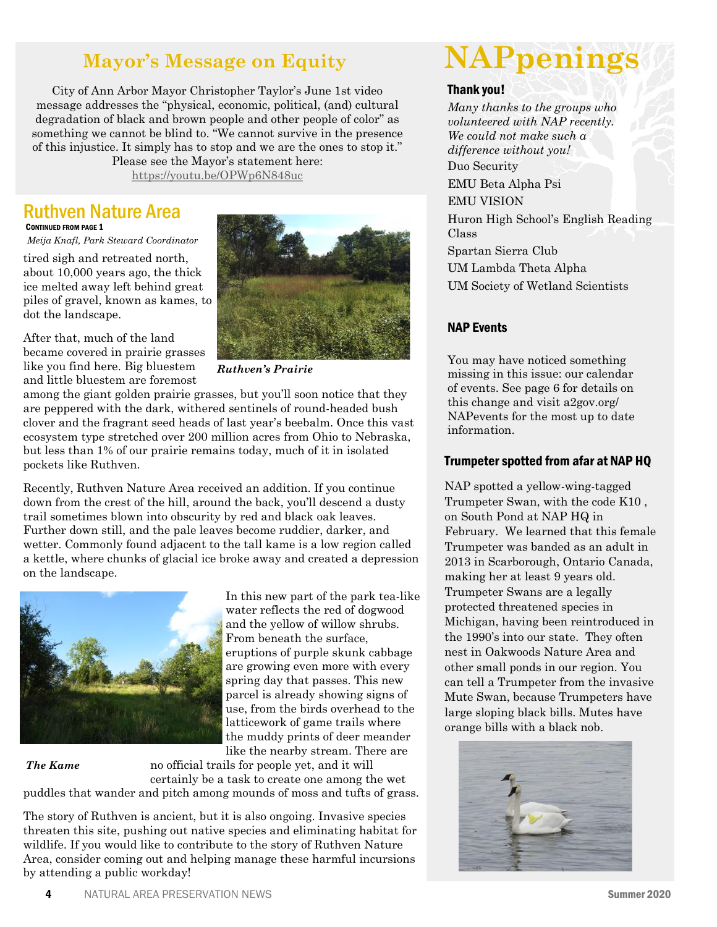### **Mayor's Message on Equity**

City of Ann Arbor Mayor Christopher Taylor's June 1st video message addresses the "physical, economic, political, (and) cultural degradation of black and brown people and other people of color" as something we cannot be blind to. "We cannot survive in the presence of this injustice. It simply has to stop and we are the ones to stop it."

Please see the Mayor's statement here: [https://youtu.be/OPWp6N848uc](https://gcc02.safelinks.protection.outlook.com/?url=https%3A%2F%2Fyoutu.be%2FOPWp6N848uc&data=02%7C01%7Cnapnewsletter%40a2gov.org%7C434181f42c764101355808d8115f506e%7C48afa58563754170b9d1e9c568bb92f3%7C0%7C0%7C637278448359695618&sdata=8yPzvxFWBX2e1ttbRUVdjoT%)

### Ruthven Nature Area CONTINUED FROM PAGE 1

*Meija Knafl, Park Steward Coordinator*

tired sigh and retreated north, about 10,000 years ago, the thick ice melted away left behind great piles of gravel, known as kames, to dot the landscape.





*Ruthven's Prairie*

among the giant golden prairie grasses, but you'll soon notice that they are peppered with the dark, withered sentinels of round-headed bush clover and the fragrant seed heads of last year's beebalm. Once this vast ecosystem type stretched over 200 million acres from Ohio to Nebraska, but less than 1% of our prairie remains today, much of it in isolated pockets like Ruthven.

Recently, Ruthven Nature Area received an addition. If you continue down from the crest of the hill, around the back, you'll descend a dusty trail sometimes blown into obscurity by red and black oak leaves. Further down still, and the pale leaves become ruddier, darker, and wetter. Commonly found adjacent to the tall kame is a low region called a kettle, where chunks of glacial ice broke away and created a depression on the landscape.



water reflects the red of dogwood and the yellow of willow shrubs. From beneath the surface, eruptions of purple skunk cabbage are growing even more with every spring day that passes. This new parcel is already showing signs of use, from the birds overhead to the latticework of game trails where the muddy prints of deer meander like the nearby stream. There are

In this new part of the park tea-like

*The Kame* 

no official trails for people yet, and it will certainly be a task to create one among the wet

puddles that wander and pitch among mounds of moss and tufts of grass.

The story of Ruthven is ancient, but it is also ongoing. Invasive species threaten this site, pushing out native species and eliminating habitat for wildlife. If you would like to contribute to the story of Ruthven Nature Area, consider coming out and helping manage these harmful incursions by attending a public workday!

## **NAPpenings**

#### Thank you!

*Many thanks to the groups who volunteered with NAP recently. We could not make such a difference without you!* Duo Security EMU Beta Alpha Psi EMU VISION Huron High School's English Reading Class Spartan Sierra Club UM Lambda Theta Alpha UM Society of Wetland Scientists

### NAP Events

You may have noticed something missing in this issue: our calendar of events. See page 6 for details on this change and visit a2gov.org/ NAPevents for the most up to date information.

#### Trumpeter spotted from afar at NAP HQ

NAP spotted a yellow-wing-tagged Trumpeter Swan, with the code K10 , on South Pond at NAP HQ in February. We learned that this female Trumpeter was banded as an adult in 2013 in Scarborough, Ontario Canada, making her at least 9 years old. Trumpeter Swans are a legally protected threatened species in Michigan, having been reintroduced in the 1990's into our state. They often nest in Oakwoods Nature Area and other small ponds in our region. You can tell a Trumpeter from the invasive Mute Swan, because Trumpeters have large sloping black bills. Mutes have orange bills with a black nob.

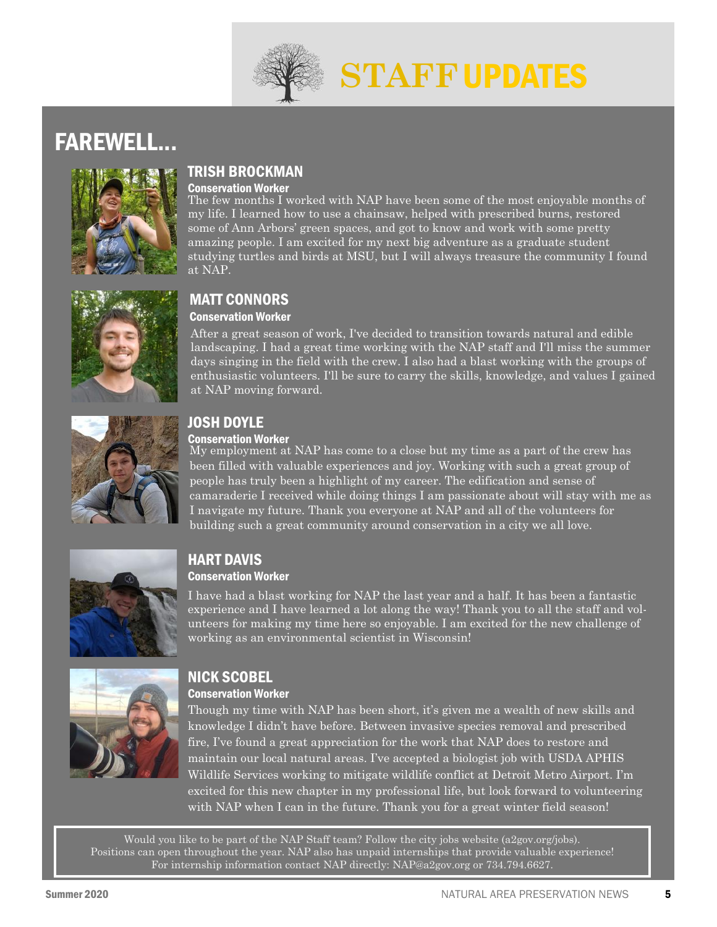

## **STAFF** UPDATES

### FAREWELL...



### TRISH BROCKMAN

#### Conservation Worker

The few months I worked with NAP have been some of the most enjoyable months of my life. I learned how to use a chainsaw, helped with prescribed burns, restored some of Ann Arbors' green spaces, and got to know and work with some pretty amazing people. I am excited for my next big adventure as a graduate student studying turtles and birds at MSU, but I will always treasure the community I found at NAP.



### MATT CONNORS Conservation Worker

After a great season of work, I've decided to transition towards natural and edible landscaping. I had a great time working with the NAP staff and I'll miss the summer days singing in the field with the crew. I also had a blast working with the groups of enthusiastic volunteers. I'll be sure to carry the skills, knowledge, and values I gained at NAP moving forward.



### JOSH DOYLE

### Conservation Worker

My employment at NAP has come to a close but my time as a part of the crew has been filled with valuable experiences and joy. Working with such a great group of people has truly been a highlight of my career. The edification and sense of camaraderie I received while doing things I am passionate about will stay with me as I navigate my future. Thank you everyone at NAP and all of the volunteers for building such a great community around conservation in a city we all love.



### HART DAVIS Conservation Worker

I have had a blast working for NAP the last year and a half. It has been a fantastic experience and I have learned a lot along the way! Thank you to all the staff and volunteers for making my time here so enjoyable. I am excited for the new challenge of working as an environmental scientist in Wisconsin!



### NICK SCOBEL Conservation Worker

Though my time with NAP has been short, it's given me a wealth of new skills and knowledge I didn't have before. Between invasive species removal and prescribed fire, I've found a great appreciation for the work that NAP does to restore and maintain our local natural areas. I've accepted a biologist job with USDA APHIS Wildlife Services working to mitigate wildlife conflict at Detroit Metro Airport. I'm excited for this new chapter in my professional life, but look forward to volunteering with NAP when I can in the future. Thank you for a great winter field season!

Would you like to be part of the NAP Staff team? Follow the city jobs website (a2gov.org/jobs). Positions can open throughout the year. NAP also has unpaid internships that provide valuable experience! For internship information contact NAP directly: NAP@a2gov.org or 734.794.6627.